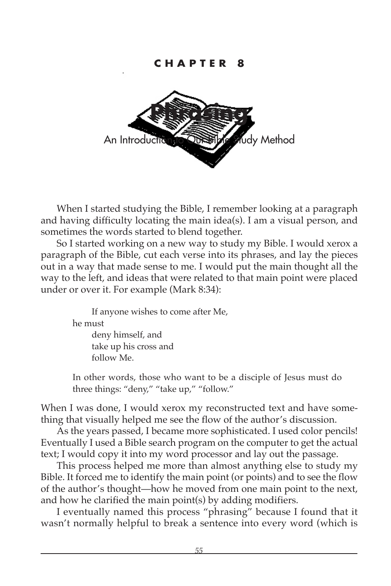# **C h a p t e r 8**



When I started studying the Bible, I remember looking at a paragraph and having difficulty locating the main idea(s). I am a visual person, and sometimes the words started to blend together.

So I started working on a new way to study my Bible. I would xerox a paragraph of the Bible, cut each verse into its phrases, and lay the pieces out in a way that made sense to me. I would put the main thought all the way to the left, and ideas that were related to that main point were placed under or over it. For example (Mark 8:34):

If anyone wishes to come after Me, he must deny himself, and take up his cross and follow Me.

In other words, those who want to be a disciple of Jesus must do three things: "deny," "take up," "follow."

When I was done, I would xerox my reconstructed text and have something that visually helped me see the flow of the author's discussion.

As the years passed, I became more sophisticated. I used color pencils! Eventually I used a Bible search program on the computer to get the actual text; I would copy it into my word processor and lay out the passage.

This process helped me more than almost anything else to study my Bible. It forced me to identify the main point (or points) and to see the flow of the author's thought—how he moved from one main point to the next, and how he clarified the main point(s) by adding modifiers.

I eventually named this process "phrasing" because I found that it wasn't normally helpful to break a sentence into every word (which is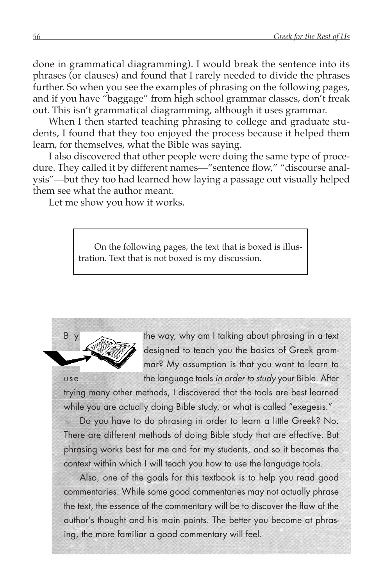done in grammatical diagramming). I would break the sentence into its phrases (or clauses) and found that I rarely needed to divide the phrases further. So when you see the examples of phrasing on the following pages, and if you have "baggage" from high school grammar classes, don't freak out. This isn't grammatical diagramming, although it uses grammar.

When I then started teaching phrasing to college and graduate students, I found that they too enjoyed the process because it helped them learn, for themselves, what the Bible was saying.

I also discovered that other people were doing the same type of procedure. They called it by different names—"sentence flow," "discourse analysis"—but they too had learned how laying a passage out visually helped them see what the author meant.

Let me show you how it works.

On the following pages, the text that is boxed is illustration. Text that is not boxed is my discussion.



 $\mathsf{B} \mathsf{y}$  the way, why am I talking about phrasing in a text designed to teach you the basics of Greek grammar? My assumption is that you want to learn to use the language tools *in order to study* your Bible. After

trying many other methods, I discovered that the tools are best learned while you are actually doing Bible study, or what is called "exegesis."

Do you have to do phrasing in order to learn a little Greek? No. There are different methods of doing Bible study that are effective. But phrasing works best for me and for my students, and so it becomes the context within which I will teach you how to use the language tools.

Also, one of the goals for this textbook is to help you read good commentaries. While some good commentaries may not actually phrase the text, the essence of the commentary will be to discover the flow of the author's thought and his main points. The better you become at phrasing, the more familiar a good commentary will feel.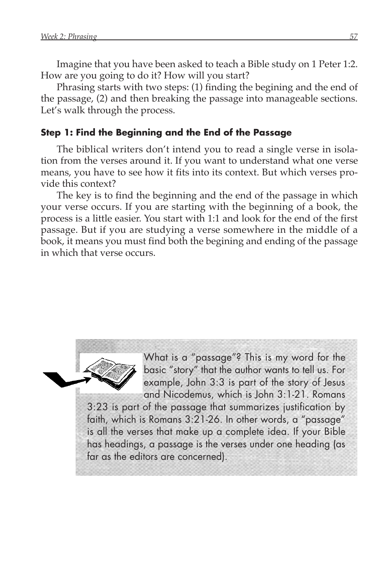Imagine that you have been asked to teach a Bible study on 1 Peter 1:2. How are you going to do it? How will you start?

Phrasing starts with two steps: (1) finding the begining and the end of the passage, (2) and then breaking the passage into manageable sections. Let's walk through the process.

## **Step 1: Find the Beginning and the End of the Passage**

The biblical writers don't intend you to read a single verse in isolation from the verses around it. If you want to understand what one verse means, you have to see how it fits into its context. But which verses provide this context?

The key is to find the beginning and the end of the passage in which your verse occurs. If you are starting with the beginning of a book, the process is a little easier. You start with 1:1 and look for the end of the first passage. But if you are studying a verse somewhere in the middle of a book, it means you must find both the begining and ending of the passage in which that verse occurs.



faith, which is Romans 3:21-26. In other words, a "passage" is all the verses that make up a complete idea. If your Bible has headings, a passage is the verses under one heading (as far as the editors are concerned).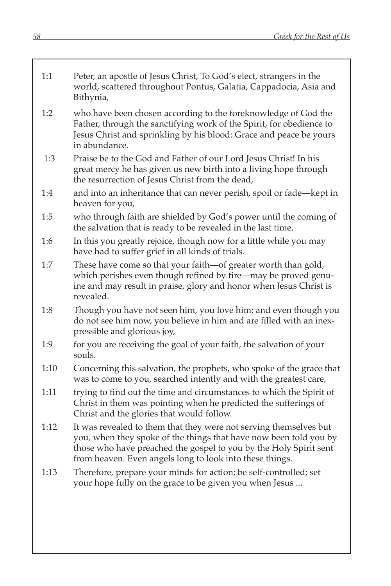| 1:1 | Peter, an apostle of Jesus Christ, To God's elect, strangers in the<br>world, scattered throughout Pontus, Galatia, Cappadocia, Asia and<br>Bithynia, |
|-----|-------------------------------------------------------------------------------------------------------------------------------------------------------|
|     | .                                                                                                                                                     |

1:2 who have been chosen according to the foreknowledge of God the Father, through the sanctifying work of the Spirit, for obedience to Jesus Christ and sprinkling by his blood: Grace and peace be yours in abundance.

- 1:3 Praise be to the God and Father of our Lord Jesus Christ! In his great mercy he has given us new birth into a living hope through the resurrection of Jesus Christ from the dead,
- 1:4 and into an inheritance that can never perish, spoil or fade—kept in heaven for you,
- 1:5 who through faith are shielded by God's power until the coming of the salvation that is ready to be revealed in the last time.
- 1:6 In this you greatly rejoice, though now for a little while you may have had to suffer grief in all kinds of trials.
- 1:7 These have come so that your faith—of greater worth than gold, which perishes even though refined by fire—may be proved genuine and may result in praise, glory and honor when Jesus Christ is revealed.
- 1:8 Though you have not seen him, you love him; and even though you do not see him now, you believe in him and are filled with an inexpressible and glorious joy,
- 1:9 for you are receiving the goal of your faith, the salvation of your souls.
- 1:10 Concerning this salvation, the prophets, who spoke of the grace that was to come to you, searched intently and with the greatest care,
- 1:11 trying to find out the time and circumstances to which the Spirit of Christ in them was pointing when he predicted the sufferings of Christ and the glories that would follow.
- 1:12 It was revealed to them that they were not serving themselves but you, when they spoke of the things that have now been told you by those who have preached the gospel to you by the Holy Spirit sent from heaven. Even angels long to look into these things.
- 1:13 Therefore, prepare your minds for action; be self-controlled; set your hope fully on the grace to be given you when Jesus ...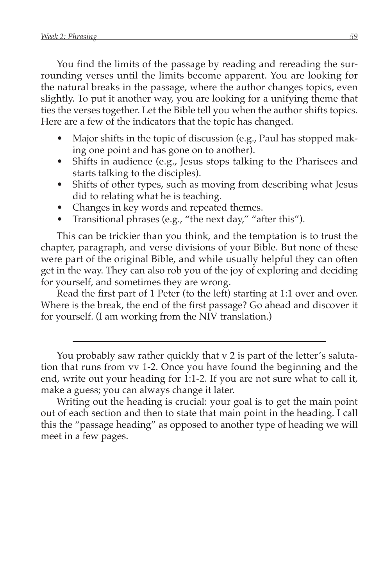You find the limits of the passage by reading and rereading the surrounding verses until the limits become apparent. You are looking for the natural breaks in the passage, where the author changes topics, even slightly. To put it another way, you are looking for a unifying theme that ties the verses together. Let the Bible tell you when the author shifts topics. Here are a few of the indicators that the topic has changed.

- Major shifts in the topic of discussion (e.g., Paul has stopped making one point and has gone on to another).
- Shifts in audience (e.g., Jesus stops talking to the Pharisees and starts talking to the disciples).
- Shifts of other types, such as moving from describing what Jesus did to relating what he is teaching.
- Changes in key words and repeated themes.
- Transitional phrases (e.g., "the next day," "after this").

This can be trickier than you think, and the temptation is to trust the chapter, paragraph, and verse divisions of your Bible. But none of these were part of the original Bible, and while usually helpful they can often get in the way. They can also rob you of the joy of exploring and deciding for yourself, and sometimes they are wrong.

Read the first part of 1 Peter (to the left) starting at 1:1 over and over. Where is the break, the end of the first passage? Go ahead and discover it for yourself. (I am working from the NIV translation.)

You probably saw rather quickly that v 2 is part of the letter's salutation that runs from vv 1-2. Once you have found the beginning and the end, write out your heading for 1:1-2. If you are not sure what to call it, make a guess; you can always change it later.

Writing out the heading is crucial: your goal is to get the main point out of each section and then to state that main point in the heading. I call this the "passage heading" as opposed to another type of heading we will meet in a few pages.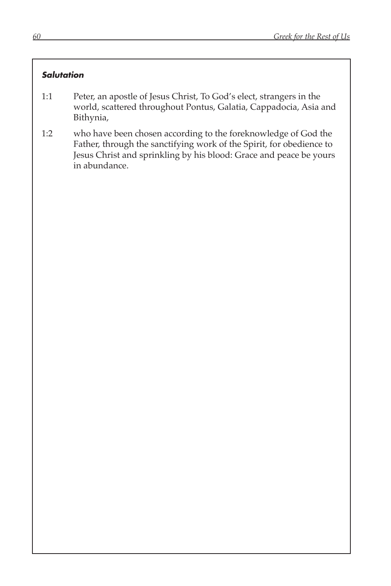## *Salutation*

- 1:1 Peter, an apostle of Jesus Christ, To God's elect, strangers in the world, scattered throughout Pontus, Galatia, Cappadocia, Asia and Bithynia,
- 1:2 who have been chosen according to the foreknowledge of God the Father, through the sanctifying work of the Spirit, for obedience to Jesus Christ and sprinkling by his blood: Grace and peace be yours in abundance.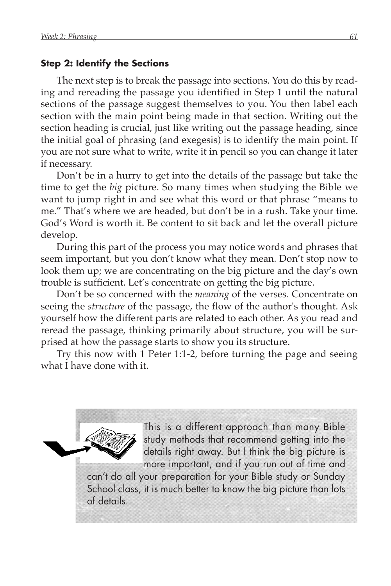### **Step 2: Identify the Sections**

The next step is to break the passage into sections. You do this by reading and rereading the passage you identified in Step 1 until the natural sections of the passage suggest themselves to you. You then label each section with the main point being made in that section. Writing out the section heading is crucial, just like writing out the passage heading, since the initial goal of phrasing (and exegesis) is to identify the main point. If you are not sure what to write, write it in pencil so you can change it later if necessary.

Don't be in a hurry to get into the details of the passage but take the time to get the *big* picture. So many times when studying the Bible we want to jump right in and see what this word or that phrase "means to me." That's where we are headed, but don't be in a rush. Take your time. God's Word is worth it. Be content to sit back and let the overall picture develop.

During this part of the process you may notice words and phrases that seem important, but you don't know what they mean. Don't stop now to look them up; we are concentrating on the big picture and the day's own trouble is sufficient. Let's concentrate on getting the big picture.

Don't be so concerned with the *meaning* of the verses. Concentrate on seeing the *structure* of the passage, the flow of the author's thought. Ask yourself how the different parts are related to each other. As you read and reread the passage, thinking primarily about structure, you will be surprised at how the passage starts to show you its structure.

Try this now with 1 Peter 1:1-2, before turning the page and seeing what I have done with it.



This is a different approach than many Bible study methods that recommend getting into the details right away. But I think the big picture is more important, and if you run out of time and

can't do all your preparation for your Bible study or Sunday School class, it is much better to know the big picture than lots of details.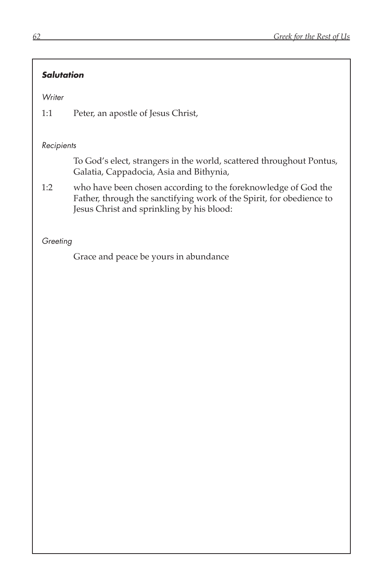## *Salutation*

*Writer*

1:1 Peter, an apostle of Jesus Christ,

### *Recipients*

To God's elect, strangers in the world, scattered throughout Pontus, Galatia, Cappadocia, Asia and Bithynia,

1:2 who have been chosen according to the foreknowledge of God the Father, through the sanctifying work of the Spirit, for obedience to Jesus Christ and sprinkling by his blood:

## *Greeting*

Grace and peace be yours in abundance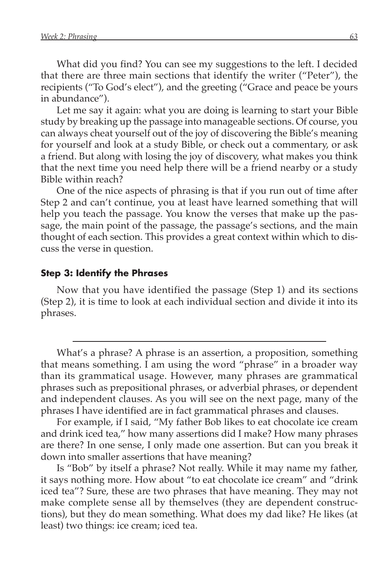What did you find? You can see my suggestions to the left. I decided that there are three main sections that identify the writer ("Peter"), the recipients ("To God's elect"), and the greeting ("Grace and peace be yours in abundance").

Let me say it again: what you are doing is learning to start your Bible study by breaking up the passage into manageable sections. Of course, you can always cheat yourself out of the joy of discovering the Bible's meaning for yourself and look at a study Bible, or check out a commentary, or ask a friend. But along with losing the joy of discovery, what makes you think that the next time you need help there will be a friend nearby or a study Bible within reach?

One of the nice aspects of phrasing is that if you run out of time after Step 2 and can't continue, you at least have learned something that will help you teach the passage. You know the verses that make up the passage, the main point of the passage, the passage's sections, and the main thought of each section. This provides a great context within which to discuss the verse in question.

#### **Step 3: Identify the Phrases**

Now that you have identified the passage (Step 1) and its sections (Step 2), it is time to look at each individual section and divide it into its phrases.

For example, if I said, "My father Bob likes to eat chocolate ice cream and drink iced tea," how many assertions did I make? How many phrases are there? In one sense, I only made one assertion. But can you break it down into smaller assertions that have meaning?

Is "Bob" by itself a phrase? Not really. While it may name my father, it says nothing more. How about "to eat chocolate ice cream" and "drink iced tea"? Sure, these are two phrases that have meaning. They may not make complete sense all by themselves (they are dependent constructions), but they do mean something. What does my dad like? He likes (at least) two things: ice cream; iced tea.

What's a phrase? A phrase is an assertion, a proposition, something that means something. I am using the word "phrase" in a broader way than its grammatical usage. However, many phrases are grammatical phrases such as prepositional phrases, or adverbial phrases, or dependent and independent clauses. As you will see on the next page, many of the phrases I have identified are in fact grammatical phrases and clauses.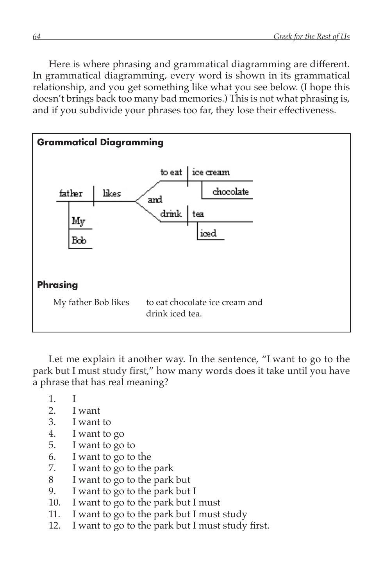Here is where phrasing and grammatical diagramming are different. In grammatical diagramming, every word is shown in its grammatical relationship, and you get something like what you see below. (I hope this doesn't brings back too many bad memories.) This is not what phrasing is, and if you subdivide your phrases too far, they lose their effectiveness.



Let me explain it another way. In the sentence, "I want to go to the park but I must study first," how many words does it take until you have a phrase that has real meaning?

- $\frac{1}{2}$  I
- 2. I want
- 3. I want to<br>4. I want to
- 4. I want to go<br>5. I want to go
- I want to go to
- 6. I want to go to the
- 7. I want to go to the park<br>8 I want to go to the park
- I want to go to the park but
- 9. I want to go to the park but I
- 10. I want to go to the park but I must
- 11. I want to go to the park but I must study
- 12. I want to go to the park but I must study first.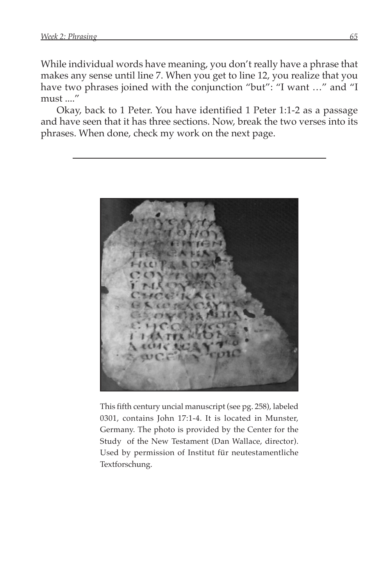While individual words have meaning, you don't really have a phrase that makes any sense until line 7. When you get to line 12, you realize that you have two phrases joined with the conjunction "but": "I want …" and "I  $must$  "

Okay, back to 1 Peter. You have identified 1 Peter 1:1-2 as a passage and have seen that it has three sections. Now, break the two verses into its phrases. When done, check my work on the next page.



This fifth century uncial manuscript (see pg. 258), labeled 0301, contains John 17:1-4. It is located in Munster, Germany. The photo is provided by the Center for the Study of the New Testament (Dan Wallace, director). Used by permission of Institut für neutestamentliche Textforschung.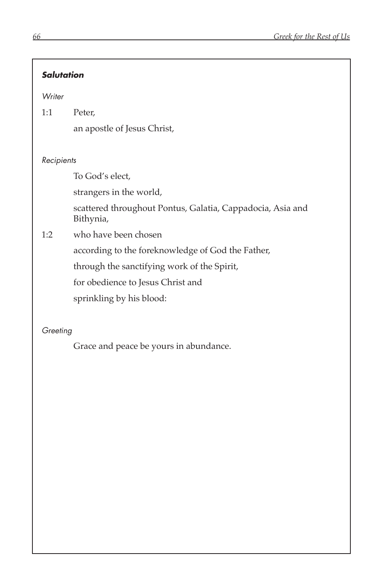## *Salutation*

### *Writer*

1:1 Peter,

an apostle of Jesus Christ,

## *Recipients*

To God's elect,

strangers in the world,

scattered throughout Pontus, Galatia, Cappadocia, Asia and Bithynia,

1:2 who have been chosen

according to the foreknowledge of God the Father,

through the sanctifying work of the Spirit,

for obedience to Jesus Christ and

sprinkling by his blood:

## *Greeting*

Grace and peace be yours in abundance.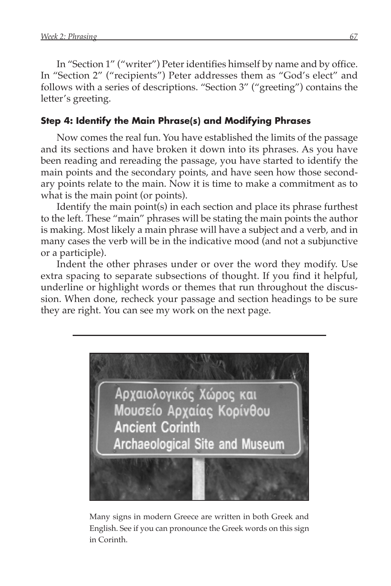In "Section 1" ("writer") Peter identifies himself by name and by office. In "Section 2" ("recipients") Peter addresses them as "God's elect" and follows with a series of descriptions. "Section 3" ("greeting") contains the letter's greeting.

## **Step 4: Identify the Main Phrase(s) and Modifying Phrases**

Now comes the real fun. You have established the limits of the passage and its sections and have broken it down into its phrases. As you have been reading and rereading the passage, you have started to identify the main points and the secondary points, and have seen how those secondary points relate to the main. Now it is time to make a commitment as to what is the main point (or points).

Identify the main point(s) in each section and place its phrase furthest to the left. These "main" phrases will be stating the main points the author is making. Most likely a main phrase will have a subject and a verb, and in many cases the verb will be in the indicative mood (and not a subjunctive or a participle).

Indent the other phrases under or over the word they modify. Use extra spacing to separate subsections of thought. If you find it helpful, underline or highlight words or themes that run throughout the discussion. When done, recheck your passage and section headings to be sure they are right. You can see my work on the next page.



Many signs in modern Greece are written in both Greek and English. See if you can pronounce the Greek words on this sign in Corinth.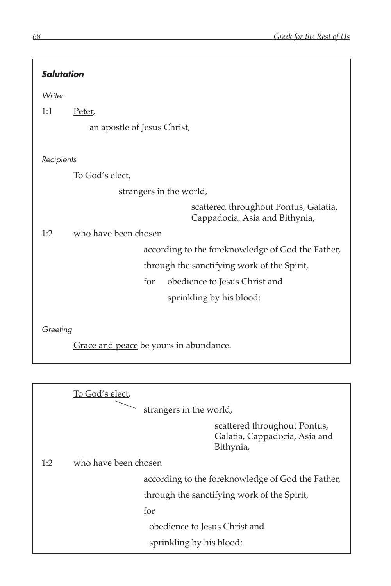| <b>Salutation</b>                                                       |  |  |
|-------------------------------------------------------------------------|--|--|
| Writer                                                                  |  |  |
| 1:1<br>Peter,                                                           |  |  |
| an apostle of Jesus Christ,                                             |  |  |
|                                                                         |  |  |
| Recipients                                                              |  |  |
| To God's elect,                                                         |  |  |
| strangers in the world,                                                 |  |  |
| scattered throughout Pontus, Galatia,<br>Cappadocia, Asia and Bithynia, |  |  |
| who have been chosen<br>1:2                                             |  |  |
| according to the foreknowledge of God the Father,                       |  |  |
| through the sanctifying work of the Spirit,                             |  |  |
| for<br>obedience to Jesus Christ and                                    |  |  |
| sprinkling by his blood:                                                |  |  |
|                                                                         |  |  |
| Greeting                                                                |  |  |
| Grace and peace be yours in abundance.                                  |  |  |

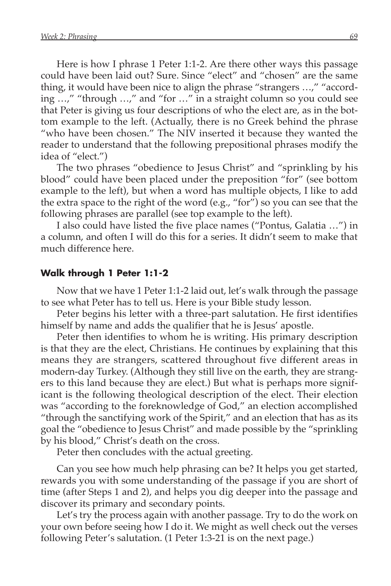Here is how I phrase 1 Peter 1:1-2. Are there other ways this passage could have been laid out? Sure. Since "elect" and "chosen" are the same thing, it would have been nice to align the phrase "strangers …," "according …," "through …," and "for …" in a straight column so you could see that Peter is giving us four descriptions of who the elect are, as in the bottom example to the left. (Actually, there is no Greek behind the phrase "who have been chosen." The NIV inserted it because they wanted the reader to understand that the following prepositional phrases modify the idea of "elect.")

The two phrases "obedience to Jesus Christ" and "sprinkling by his blood" could have been placed under the preposition "for" (see bottom example to the left), but when a word has multiple objects, I like to add the extra space to the right of the word (e.g., "for") so you can see that the following phrases are parallel (see top example to the left).

I also could have listed the five place names ("Pontus, Galatia …") in a column, and often I will do this for a series. It didn't seem to make that much difference here.

#### **Walk through 1 Peter 1:1-2**

Now that we have 1 Peter 1:1-2 laid out, let's walk through the passage to see what Peter has to tell us. Here is your Bible study lesson.

Peter begins his letter with a three-part salutation. He first identifies himself by name and adds the qualifier that he is Jesus' apostle.

Peter then identifies to whom he is writing. His primary description is that they are the elect, Christians. He continues by explaining that this means they are strangers, scattered throughout five different areas in modern-day Turkey. (Although they still live on the earth, they are strangers to this land because they are elect.) But what is perhaps more significant is the following theological description of the elect. Their election was "according to the foreknowledge of God," an election accomplished "through the sanctifying work of the Spirit," and an election that has as its goal the "obedience to Jesus Christ" and made possible by the "sprinkling by his blood," Christ's death on the cross.

Peter then concludes with the actual greeting.

Can you see how much help phrasing can be? It helps you get started, rewards you with some understanding of the passage if you are short of time (after Steps 1 and 2), and helps you dig deeper into the passage and discover its primary and secondary points.

Let's try the process again with another passage. Try to do the work on your own before seeing how I do it. We might as well check out the verses following Peter's salutation. (1 Peter 1:3-21 is on the next page.)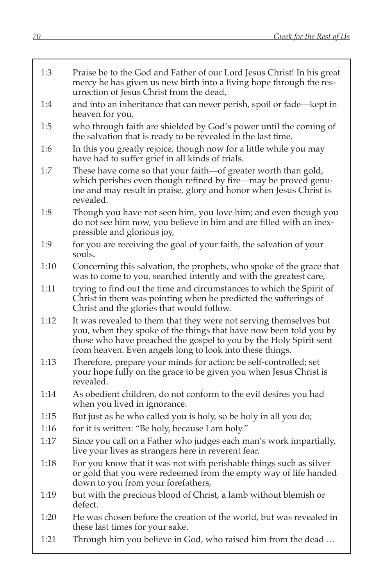| 1:3  | Praise be to the God and Father of our Lord Jesus Christ! In his great<br>mercy he has given us new birth into a living hope through the res-<br>urrection of Jesus Christ from the dead,                                                                               |
|------|-------------------------------------------------------------------------------------------------------------------------------------------------------------------------------------------------------------------------------------------------------------------------|
| 1:4  | and into an inheritance that can never perish, spoil or fade—kept in<br>heaven for you,                                                                                                                                                                                 |
| 1:5  | who through faith are shielded by God's power until the coming of<br>the salvation that is ready to be revealed in the last time.                                                                                                                                       |
| 1:6  | In this you greatly rejoice, though now for a little while you may<br>have had to suffer grief in all kinds of trials.                                                                                                                                                  |
| 1:7  | These have come so that your faith—of greater worth than gold,<br>which perishes even though refined by fire—may be proved genu-<br>ine and may result in praise, glory and honor when Jesus Christ is<br>revealed.                                                     |
| 1:8  | Though you have not seen him, you love him; and even though you<br>do not see him now, you believe in him and are filled with an inex-<br>pressible and glorious joy,                                                                                                   |
| 1:9  | for you are receiving the goal of your faith, the salvation of your<br>souls.                                                                                                                                                                                           |
| 1:10 | Concerning this salvation, the prophets, who spoke of the grace that<br>was to come to you, searched intently and with the greatest care,                                                                                                                               |
| 1:11 | trying to find out the time and circumstances to which the Spirit of<br>Christ in them was pointing when he predicted the sufferings of<br>Christ and the glories that would follow.                                                                                    |
| 1:12 | It was revealed to them that they were not serving themselves but<br>you, when they spoke of the things that have now been told you by<br>those who have preached the gospel to you by the Holy Spirit sent<br>from heaven. Even angels long to look into these things. |
| 1:13 | Therefore, prepare your minds for action; be self-controlled; set<br>your hope fully on the grace to be given you when Jesus Christ is<br>revealed.                                                                                                                     |
| 1:14 | As obedient children, do not conform to the evil desires you had<br>when you lived in ignorance.                                                                                                                                                                        |
| 1:15 | But just as he who called you is holy, so be holy in all you do;                                                                                                                                                                                                        |
| 1:16 | for it is written: "Be holy, because I am holy."                                                                                                                                                                                                                        |
| 1:17 | Since you call on a Father who judges each man's work impartially,<br>live your lives as strangers here in reverent fear.                                                                                                                                               |
| 1:18 | For you know that it was not with perishable things such as silver<br>or gold that you were redeemed from the empty way of life handed<br>down to you from your forefathers,                                                                                            |
| 1:19 | but with the precious blood of Christ, a lamb without blemish or<br>defect.                                                                                                                                                                                             |
| 1:20 | He was chosen before the creation of the world, but was revealed in<br>these last times for your sake.                                                                                                                                                                  |
| 1:21 | Through him you believe in God, who raised him from the dead                                                                                                                                                                                                            |
|      |                                                                                                                                                                                                                                                                         |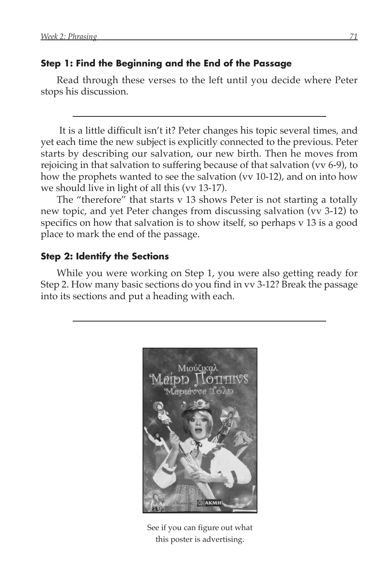### **Step 1: Find the Beginning and the End of the Passage**

Read through these verses to the left until you decide where Peter stops his discussion.

 It is a little difficult isn't it? Peter changes his topic several times, and yet each time the new subject is explicitly connected to the previous. Peter starts by describing our salvation, our new birth. Then he moves from rejoicing in that salvation to suffering because of that salvation (vv 6-9), to how the prophets wanted to see the salvation (vv 10-12), and on into how we should live in light of all this (vv 13-17).

The "therefore" that starts v 13 shows Peter is not starting a totally new topic, and yet Peter changes from discussing salvation (vv 3-12) to specifics on how that salvation is to show itself, so perhaps v 13 is a good place to mark the end of the passage.

### **Step 2: Identify the Sections**

While you were working on Step 1, you were also getting ready for Step 2. How many basic sections do you find in vv 3-12? Break the passage into its sections and put a heading with each.



See if you can figure out what this poster is advertising.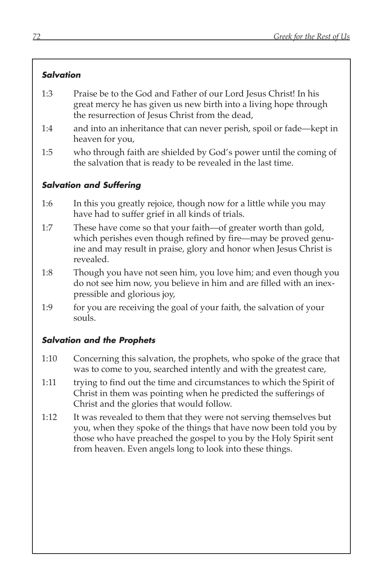## *Salvation*

- 1:3 Praise be to the God and Father of our Lord Jesus Christ! In his great mercy he has given us new birth into a living hope through the resurrection of Jesus Christ from the dead,
- 1:4 and into an inheritance that can never perish, spoil or fade—kept in heaven for you,
- 1:5 who through faith are shielded by God's power until the coming of the salvation that is ready to be revealed in the last time.

## *Salvation and Suffering*

- 1:6 In this you greatly rejoice, though now for a little while you may have had to suffer grief in all kinds of trials.
- 1:7 These have come so that your faith—of greater worth than gold, which perishes even though refined by fire—may be proved genuine and may result in praise, glory and honor when Jesus Christ is revealed.
- 1:8 Though you have not seen him, you love him; and even though you do not see him now, you believe in him and are filled with an inexpressible and glorious joy,
- 1:9 for you are receiving the goal of your faith, the salvation of your souls.

## *Salvation and the Prophets*

- 1:10 Concerning this salvation, the prophets, who spoke of the grace that was to come to you, searched intently and with the greatest care,
- 1:11 trying to find out the time and circumstances to which the Spirit of Christ in them was pointing when he predicted the sufferings of Christ and the glories that would follow.
- 1:12 It was revealed to them that they were not serving themselves but you, when they spoke of the things that have now been told you by those who have preached the gospel to you by the Holy Spirit sent from heaven. Even angels long to look into these things.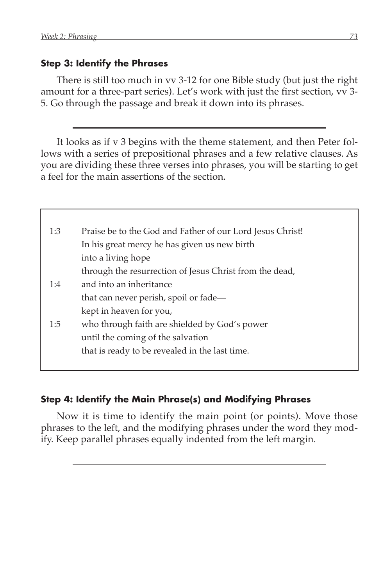## **Step 3: Identify the Phrases**

There is still too much in vv 3-12 for one Bible study (but just the right amount for a three-part series). Let's work with just the first section, vv 3- 5. Go through the passage and break it down into its phrases.

It looks as if v 3 begins with the theme statement, and then Peter follows with a series of prepositional phrases and a few relative clauses. As you are dividing these three verses into phrases, you will be starting to get a feel for the main assertions of the section.

| 1:3 | Praise be to the God and Father of our Lord Jesus Christ! |
|-----|-----------------------------------------------------------|
|     | In his great mercy he has given us new birth              |
|     | into a living hope                                        |
|     | through the resurrection of Jesus Christ from the dead,   |
| 1:4 | and into an inheritance                                   |
|     | that can never perish, spoil or fade-                     |
|     | kept in heaven for you,                                   |
| 1:5 | who through faith are shielded by God's power             |
|     | until the coming of the salvation                         |
|     | that is ready to be revealed in the last time.            |
|     |                                                           |

## **Step 4: Identify the Main Phrase(s) and Modifying Phrases**

Now it is time to identify the main point (or points). Move those phrases to the left, and the modifying phrases under the word they modify. Keep parallel phrases equally indented from the left margin.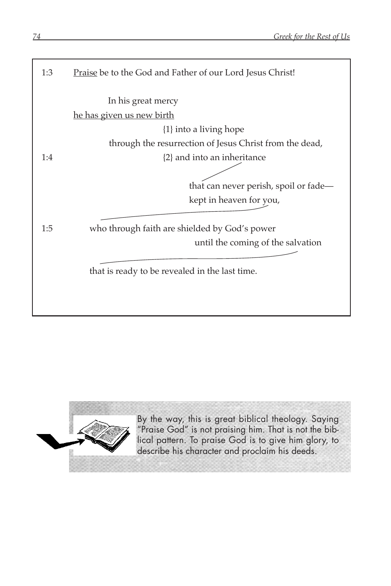| 1:3 | Praise be to the God and Father of our Lord Jesus Christ! |
|-----|-----------------------------------------------------------|
|     | In his great mercy                                        |
|     | he has given us new birth                                 |
|     | {1} into a living hope                                    |
|     | through the resurrection of Jesus Christ from the dead,   |
| 1:4 | {2} and into an inheritance                               |
|     |                                                           |
|     | that can never perish, spoil or fade—                     |
|     | kept in heaven for you,                                   |
| 1:5 | who through faith are shielded by God's power             |
|     | until the coming of the salvation                         |
|     | that is ready to be revealed in the last time.            |



By the way, this is great biblical theology. Saying "Praise God" is not praising him. That is not the biblical pattern. To praise God is to give him glory, to describe his character and proclaim his deeds.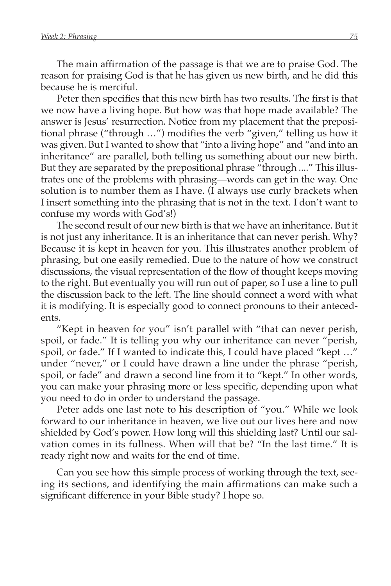The main affirmation of the passage is that we are to praise God. The reason for praising God is that he has given us new birth, and he did this because he is merciful.

Peter then specifies that this new birth has two results. The first is that we now have a living hope. But how was that hope made available? The answer is Jesus' resurrection. Notice from my placement that the prepositional phrase ("through …") modifies the verb "given," telling us how it was given. But I wanted to show that "into a living hope" and "and into an inheritance" are parallel, both telling us something about our new birth. But they are separated by the prepositional phrase "through ...." This illustrates one of the problems with phrasing—words can get in the way. One solution is to number them as I have. (I always use curly brackets when I insert something into the phrasing that is not in the text. I don't want to confuse my words with God's!)

The second result of our new birth is that we have an inheritance. But it is not just any inheritance. It is an inheritance that can never perish. Why? Because it is kept in heaven for you. This illustrates another problem of phrasing, but one easily remedied. Due to the nature of how we construct discussions, the visual representation of the flow of thought keeps moving to the right. But eventually you will run out of paper, so I use a line to pull the discussion back to the left. The line should connect a word with what it is modifying. It is especially good to connect pronouns to their antecedents.

"Kept in heaven for you" isn't parallel with "that can never perish, spoil, or fade." It is telling you why our inheritance can never "perish, spoil, or fade." If I wanted to indicate this, I could have placed "kept …" under "never," or I could have drawn a line under the phrase "perish, spoil, or fade" and drawn a second line from it to "kept." In other words, you can make your phrasing more or less specific, depending upon what you need to do in order to understand the passage.

Peter adds one last note to his description of "you." While we look forward to our inheritance in heaven, we live out our lives here and now shielded by God's power. How long will this shielding last? Until our salvation comes in its fullness. When will that be? "In the last time." It is ready right now and waits for the end of time.

Can you see how this simple process of working through the text, seeing its sections, and identifying the main affirmations can make such a significant difference in your Bible study? I hope so.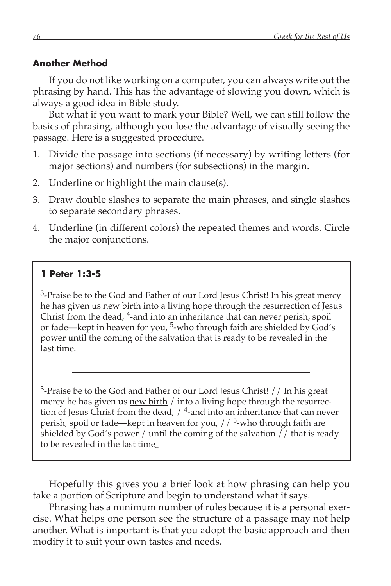## **Another Method**

If you do not like working on a computer, you can always write out the phrasing by hand. This has the advantage of slowing you down, which is always a good idea in Bible study.

But what if you want to mark your Bible? Well, we can still follow the basics of phrasing, although you lose the advantage of visually seeing the passage. Here is a suggested procedure.

- 1. Divide the passage into sections (if necessary) by writing letters (for major sections) and numbers (for subsections) in the margin.
- 2. Underline or highlight the main clause(s).
- 3. Draw double slashes to separate the main phrases, and single slashes to separate secondary phrases.
- 4. Underline (in different colors) the repeated themes and words. Circle the major conjunctions.

## **1 Peter 1:3-5**

 $3$ -Praise be to the God and Father of our Lord Jesus Christ! In his great mercy he has given us new birth into a living hope through the resurrection of Jesus Christ from the dead,  $4$ -and into an inheritance that can never perish, spoil or fade—kept in heaven for you, 5-who through faith are shielded by God's power until the coming of the salvation that is ready to be revealed in the last time.

 $3$ -Praise be to the God and Father of our Lord Jesus Christ!  $//$  In his great mercy he has given us new birth  $\ell$  into a living hope through the resurrection of Jesus Christ from the dead,  $/$  <sup>4</sup>-and into an inheritance that can never perish, spoil or fade—kept in heaven for you,  $1/5$ -who through faith are shielded by God's power / until the coming of the salvation // that is ready to be revealed in the last time‑

Hopefully this gives you a brief look at how phrasing can help you take a portion of Scripture and begin to understand what it says.

Phrasing has a minimum number of rules because it is a personal exercise. What helps one person see the structure of a passage may not help another. What is important is that you adopt the basic approach and then modify it to suit your own tastes and needs.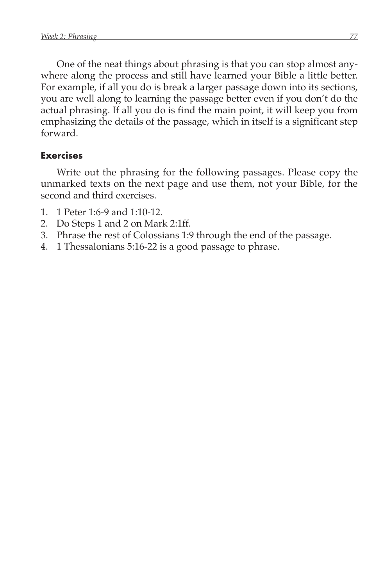One of the neat things about phrasing is that you can stop almost anywhere along the process and still have learned your Bible a little better. For example, if all you do is break a larger passage down into its sections, you are well along to learning the passage better even if you don't do the actual phrasing. If all you do is find the main point, it will keep you from emphasizing the details of the passage, which in itself is a significant step forward.

## **Exercises**

Write out the phrasing for the following passages. Please copy the unmarked texts on the next page and use them, not your Bible, for the second and third exercises.

- 1. 1 Peter 1:6-9 and 1:10-12.
- 2. Do Steps 1 and 2 on Mark 2:1ff.
- 3. Phrase the rest of Colossians 1:9 through the end of the passage.
- 4. 1 Thessalonians 5:16-22 is a good passage to phrase.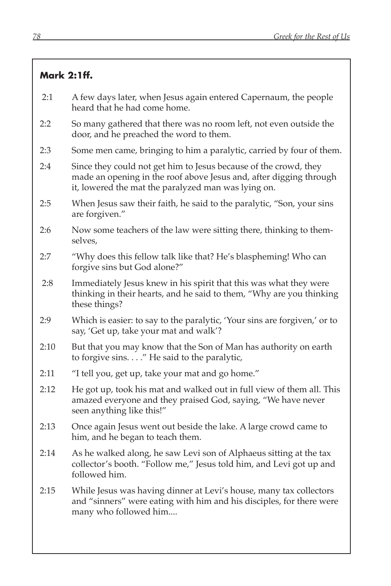# **Mark 2:1ff.**

- 2:1 A few days later, when Jesus again entered Capernaum, the people heard that he had come home.
- 2:2 So many gathered that there was no room left, not even outside the door, and he preached the word to them.
- 2:3 Some men came, bringing to him a paralytic, carried by four of them.
- 2:4 Since they could not get him to Jesus because of the crowd, they made an opening in the roof above Jesus and, after digging through it, lowered the mat the paralyzed man was lying on.
- 2:5 When Jesus saw their faith, he said to the paralytic, "Son, your sins are forgiven."
- 2:6 Now some teachers of the law were sitting there, thinking to themselves,
- 2:7 "Why does this fellow talk like that? He's blaspheming! Who can forgive sins but God alone?"
- 2:8 Immediately Jesus knew in his spirit that this was what they were thinking in their hearts, and he said to them, "Why are you thinking these things?
- 2:9 Which is easier: to say to the paralytic, 'Your sins are forgiven,' or to say, 'Get up, take your mat and walk'?
- 2:10 But that you may know that the Son of Man has authority on earth to forgive sins. . . ." He said to the paralytic,
- 2:11 "I tell you, get up, take your mat and go home."
- 2:12 He got up, took his mat and walked out in full view of them all. This amazed everyone and they praised God, saying, "We have never seen anything like this!"
- 2:13 Once again Jesus went out beside the lake. A large crowd came to him, and he began to teach them.
- 2:14 As he walked along, he saw Levi son of Alphaeus sitting at the tax collector's booth. "Follow me," Jesus told him, and Levi got up and followed him.
- 2:15 While Jesus was having dinner at Levi's house, many tax collectors and "sinners" were eating with him and his disciples, for there were many who followed him....